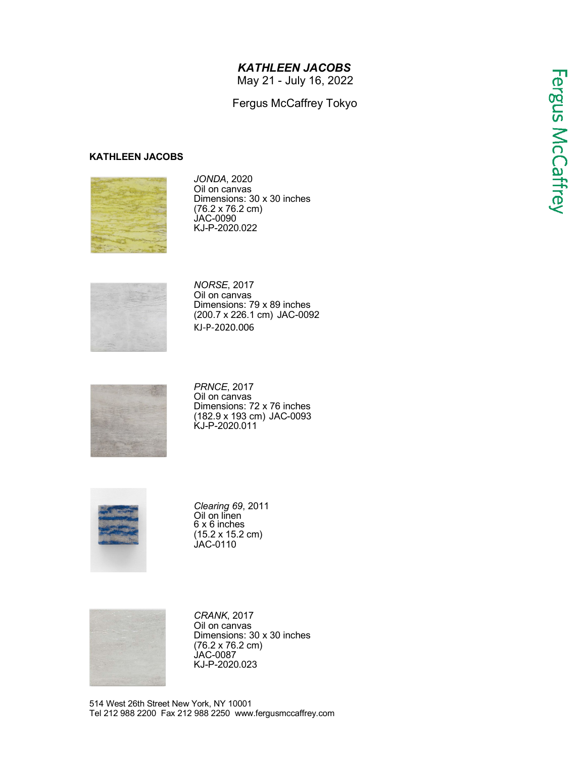## *KATHLEEN JACOBS*

May 21 - July 16, 2022

## Fergus McCaffrey Tokyo

## **KATHLEEN JACOBS**



*JONDA*, 2020 Oil on canvas Dimensions: 30 x 30 inches (76.2 x 76.2 cm) JAC-0090 KJ-P-2020.022



*NORSE*, 2017 Oil on canvas Dimensions: 79 x 89 inches (200.7 x 226.1 cm) JAC-0092 KJ-P-2020.006



*PRNCE*, 2017 Oil on canvas Dimensions: 72 x 76 inches (182.9 x 193 cm) JAC-0093 KJ-P-2020.011



*Clearing 69*, 2011 Oil on linen 6 x 6 inches (15.2 x 15.2 cm) JAC-0110



*CRANK*, 2017 Oil on canvas Dimensions: 30 x 30 inches (76.2 x 76.2 cm) JAC-0087 KJ-P-2020.023